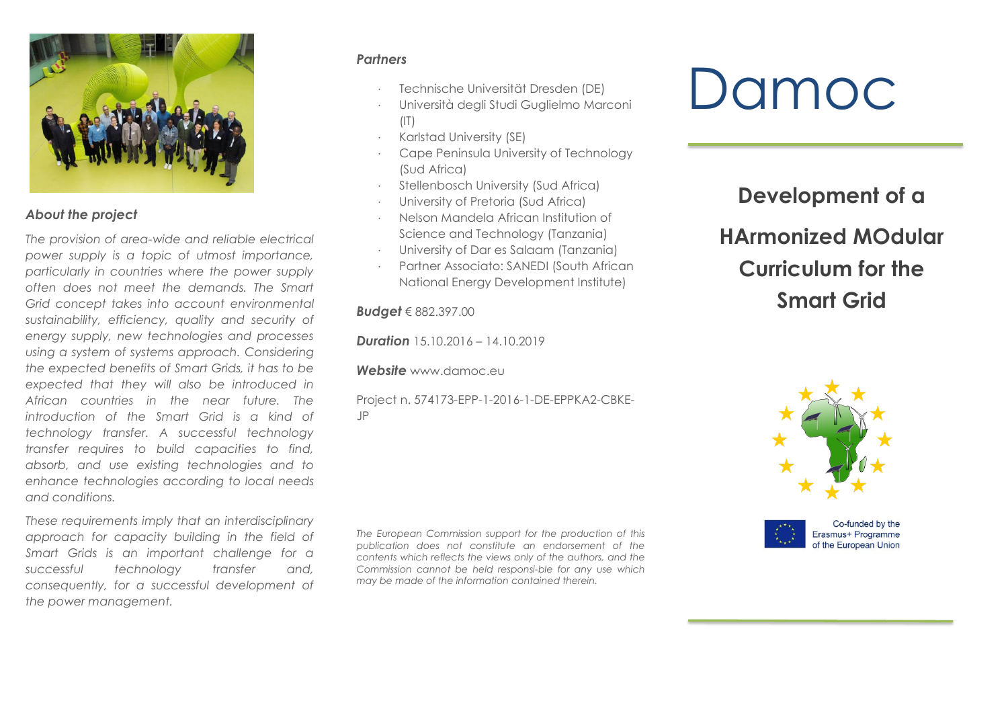

### *About the project*

*The provision of area-wide and reliable electrical power supply is a topic of utmost importance, particularly in countries where the power supply often does not meet the demands. The Smart Grid concept takes into account environmental sustainability, efficiency, quality and security of energy supply, new technologies and processes using a system of systems approach. Considering the expected benefits of Smart Grids, it has to be expected that they will also be introduced in African countries in the near future. The introduction of the Smart Grid is a kind of technology transfer. A successful technology transfer requires to build capacities to find, absorb, and use existing technologies and to enhance technologies according to local needs and conditions.*

*These requirements imply that an interdisciplinary approach for capacity building in the field of Smart Grids is an important challenge for a successful technology transfer and, consequently, for a successful development of the power management.*

### *Partners*

- Technische Universität Dresden (DE)
- Università degli Studi Guglielmo Marconi  $(1)$
- Karlstad University (SE)
- Cape Peninsula University of Technology (Sud Africa)
- Stellenbosch University (Sud Africa)
- University of Pretoria (Sud Africa)
- Nelson Mandela African Institution of Science and Technology (Tanzania)
- University of Dar es Salaam (Tanzania)
- Partner Associato: SANEDI (South African National Energy Development Institute)

*Budget* € 882.397.00

**Duration** 15.10.2016 – 14.10.2019

*Website* [www.damoc.eu](http://www.damoc.eu/)

Project n. 574173-EPP-1-2016-1-DE-EPPKA2-CBKE-JP

*The European Commission support for the production of this publication does not constitute an endorsement of the contents which reflects the views only of the authors, and the Commission cannot be held responsible for any use which may be made of the information contained therein.*

# Damoc

## **Development of a HArmonized MOdular Curriculum for the Smart Grid**



Co-funded by the Erasmus+ Programme of the European Union